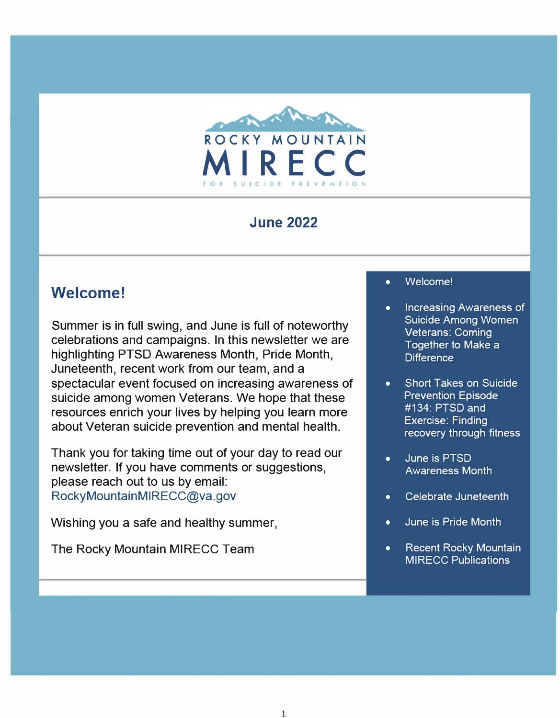

## **June 2022**

# **Welcome!**

Summer is in full swing, and June is full of noteworthy celebrations and campaigns. In this newsletter we are highlighting PTSD Awareness Month, Pride Month, Juneteenth, recent work from our team, and a spectacular event focused on increasing awareness of suicide among women Veterans. We hope that these resources enrich your lives by helping you learn more about Veteran suicide prevention and mental health.

Thank you for taking time out of your day to read our newsletter. If you have comments or suggestions, please reach out to us by email: RockyMountainMIRECC@va.gov

Wishing you a safe and healthy summer,

The Rocky Mountain MIRECC Team

#### • Welcome!

- [Increasing Awareness of](#page-1-0)  Suicide Among Women Veterans: Coming Together to Make a **Difference**
- Short Takes on Suicide Prevention Episode #134: PTSD and Exercise: Finding [recovery through fitness](#page-2-0)
- June is PTSD [Awareness Month](#page-2-0)
- [Celebrate Juneteenth](#page-3-0)
- [June is Pride Month](#page-3-0)
- [Recent Rocky Mountain](#page-3-0) MIRECC Publications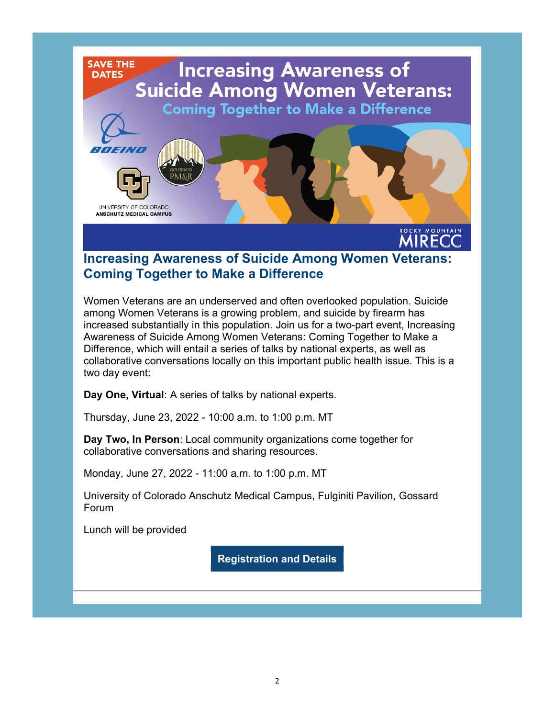<span id="page-1-0"></span>

### [Increasing Awareness of Suicide Among Women](https://redcap.ucdenver.edu/surveys/?s=HNPX7FC3WW7494CY) Veterans: Coming Together to Make a Difference

Women Veterans are an underserved and often overlooked population. Suicide among Women Veterans is a growing problem, and suicide by firearm has increased substantially in this population. Join us for a two-part event, Increasing Awareness of Suicide Among Women Veterans: Coming Together to Make a Difference, which will entail a series of talks by national experts, as well as collaborative conversations locally on this important public health issue. This is a two day event:

Day One, Virtual: A series of talks by national experts.

Thursday, June 23, 2022 - 10:00 a.m. to 1:00 p.m. MT

Day Two, In Person: Local community organizations come together for collaborative conversations and sharing resources.

Monday, June 27, 2022 - 11:00 a.m. to 1:00 p.m. MT

University of Colorado Anschutz Medical Campus, Fulginiti Pavilion, Gossard Forum

Lunch will be provided

[Registration and Details](https://redcap.ucdenver.edu/surveys/?s=HNPX7FC3WW7494CY)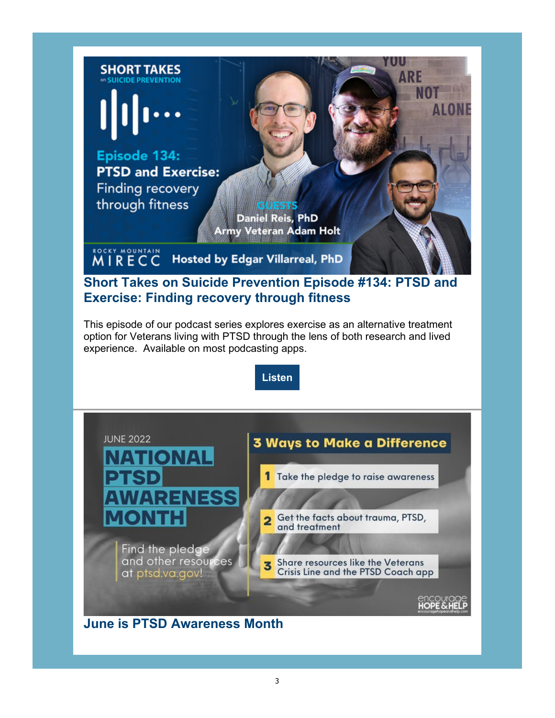<span id="page-2-0"></span>

## [Short Takes on Suicide Prevention Episode #134: PTSD and](https://denvermirecc.libsyn.com/ptsd-and-exercise-finding-recovery-through-fitness)  Exercise: Finding recovery through fitness

This episode of our podcast series explores exercise as an alternative treatment option for Veterans living with PTSD through the lens of both research and lived experience. Available on most podcasting apps.

[Listen](https://denvermirecc.libsyn.com/ptsd-and-exercise-finding-recovery-through-fitness)



[June is PTSD Awareness Month](https://www.ptsd.va.gov/understand/awareness/)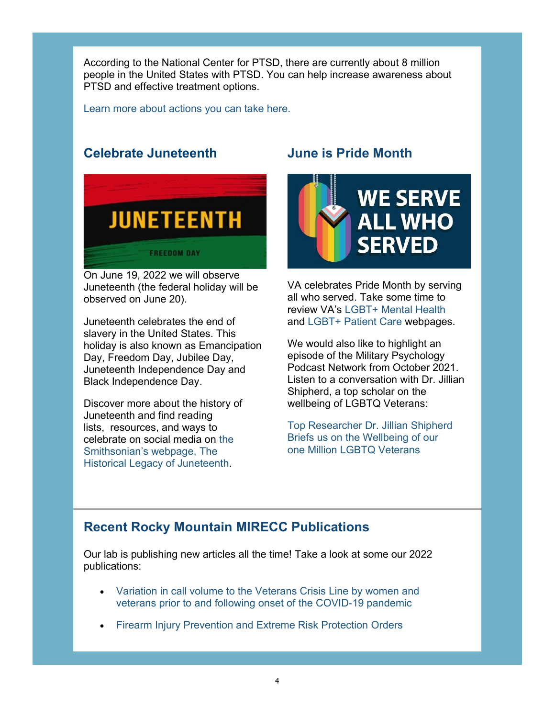<span id="page-3-0"></span>According to the National Center for PTSD, there are currently about 8 million people in the United States with PTSD. You can help increase awareness about PTSD and effective treatment options.

[Learn more about actions you can take here.](https://www.ptsd.va.gov/understand/awareness/)

### [Celebrate Juneteenth](https://nmaahc.si.edu/explore/stories/historical-legacy-juneteenth)



On June 19, 2022 we will observe Juneteenth (the federal holiday will be observed on June 20).

Juneteenth celebrates the end of slavery in the United States. This holiday is also known as Emancipation Day, Freedom Day, Jubilee Day, Juneteenth Independence Day and Black Independence Day.

Discover more about the history of Juneteenth and find reading lists, resources, and ways to [celebrate on social media on the](https://nmaahc.si.edu/explore/stories/historical-legacy-juneteenth)  Smithsonian's webpage, The Historical Legacy of Juneteenth.

# June is Pride Month



VA celebrates Pride Month by serving all who served. Take some time to review VA's [LGBT+ Mental Health](https://www.mentalhealth.va.gov/mentalhealth/lgbtq-plus/index.asp) and [LGBT+ Patient Care](https://www.patientcare.va.gov/lgbt/) webpages.

We would also like to highlight an episode of the Military Psychology Podcast Network from October 2021. Listen to a conversation with Dr. Jillian Shipherd, a top scholar on the wellbeing of LGBTQ Veterans:

[Top Researcher Dr. Jillian Shipherd](https://podcasts.apple.com/us/podcast/lgbtq-series-episode-3-top-researcher-dr-jillian-shipherd/id1553694252?i=1000538217233) Briefs us on the Wellbeing of our one Million LGBTQ Veterans

# Recent Rocky Mountain MIRECC Publications

Our lab is publishing new articles all the time! Take a look at some our 2022 publications:

- [Variation in call volume to the Veterans Crisis Line by women and](https://pubmed.ncbi.nlm.nih.gov/35636032/)  [veterans prior to and following onset of the COVID-19 pandemic](https://pubmed.ncbi.nlm.nih.gov/35636032/)
- [Firearm Injury Prevention and Extreme Risk Protection Orders](https://pubmed.ncbi.nlm.nih.gov/35511101/)